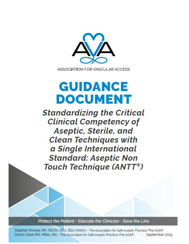

# **GUIDANCE DOCUMENT**

**Standardizing the Critical Clinical Competency of** Aseptic, Sterile, and **Clean Techniques with** a Single International **Standard: Aseptic Non** Touch Technique (ANTT®)

Protect the Patient • Educate the Clinician • Save the Line

Stephen Rowley RN, RSCN, MSc, BSc (Hons) - The Association for Safe Aseptic Practice (The ASAP) Simon Clare RN, MRes, BA - The Association for Safe Aseptic Practice (The ASAP) September 2019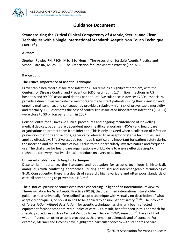

# **Guidance Document**

# **Standardizing the Critical Clinical Competency of Aseptic, Sterile, and Clean Techniques with a Single International Standard: Aseptic Non Touch Technique (ANTT®)**

# **Authors:**

Stephen Rowley RN, RSCN, MSc, BSc (Hons) - The-Association for Safe Aseptic Practice and Simon Clare RN, MRes, BA – The Association for Safe Aseptic Practice (The-ASAP)

# **Background:**

# **The Critical Importance of Aseptic Technique**

Preventable healthcare-associated infection (HAI) remains a significant problem, with the Centers for Disease Control and Prevention (CDC) estimating 1.7 million infections in US hospitals and 99,000 associated deaths per annum<sup>1</sup>. Vascular access devices (VADs) especially, provide a direct invasive route for microorganisms to infect patients during their insertion and ongoing maintenance, and consequently provide a relatively high risk of preventable morbidity and mortality. CDC estimates the cost of central line associated bloodstream infections (CLABSI) were close to \$3 billion per annum in 2007<sup>2</sup>.

Consequently, for all invasive clinical procedures and ongoing maintenance of indwelling medical devices, patients are dependent upon healthcare workers (HCWs) and healthcare organizations to protect them from infection. This is only ensured when a collection of infection prevention methods and actions, generically referred to as aseptic or sterile techniques, are applied effectively. Effective aseptic technique is particularly important for patient safety during the insertion and maintenance of IVAD's due to their particularly invasive nature and frequent use. The challenge for healthcare organizations worldwide is to ensure effective aseptic technique for every invasive clinical procedure on every occasion.

# **Universal Problems with Aseptic Technique**

Despite its importance, the literature and education for aseptic technique is historically ambiguous with conflicting approaches utilizing confused and interchangeable terminologies 8-10. Consequently, there is a dearth of research, highly variable and often poor standards of care, all contributing to preventable HAI<sup>11-14</sup>.

The historical picture becomes even more concerning in light of an international review by The-Association for Safe Aseptic Practice (2019), that identified international stakeholder guidance near universally, "prescribed" aseptic technique with virtually no description of what aseptic technique is, or how it needs to be applied to ensure patient safety<sup>17,25,26</sup>. The problem of *"prescription without description"* for aseptic technique has similarly been reflected in equipment focused standardized bundles of care. As a result, benefits seen in this approach for specific procedures such as Central Venous Access Device (CVAD) insertion<sup>3,31</sup> have not had wider influence on other aseptic procedures that remain problematic and of concern. For example, Mermel and DeVries have highlighted particular concern with standards of care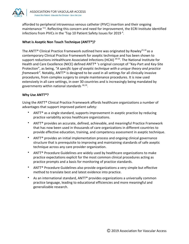

afforded to peripheral intravenous venous catheter (PIVC) insertion and their ongoing maintenance <sup>5-6</sup>. Reflecting this concern and need for improvement, the ECRI Institute identified infections from PIVCs in the 'Top 10 Patient Safety Issues for 2019<sup>4</sup>.

# **What is Aseptic Non Touch Technique (ANTT®)?**

The ANTT<sup>®</sup> Clinical Practice Framework outlined here was originated by Rowley<sup>15,16</sup> as a contemporary Clinical Practice Framework for aseptic technique and has been shown to support reductions inHealthcare Associated Infections (HCAI) <sup>20-23</sup>. The National Institute for Health and Care Excellence (NICE) defined ANTT® 's original concept of "Key-Part and Key-Site Protection", as being, *"A specific type of aseptic technique with a unique theory and practice framework"*. Notably, ANTT<sup>®</sup> is designed to be used in all settings for all clinically invasive procedures, from complex surgery to simple maintenance procedures. It is now used extensively in all care settings, in over 30 countries and is increasingly being mandated by governments within national standards  $^{18,19}$ .

#### **Why Use ANTT®?**

Using the ANTT® Clinical Practice Framework affords healthcare organizations a number of advantages that support improved patient safety:

- ANTT<sup>®</sup> as a single standard, supports improvement in aseptic practice by reducing practice variability across healthcare organizations.
- ANTT<sup>®</sup> provides an accurate, defined, achievable, and meaningful Practice Framework that has now been used in thousands of care organizations in different countries to provide effective education, training, and competency assessment in aseptic technique.
- ANTT<sup>®</sup> provides an initial implementation process and ongoing clinical governance structure that is prerequisite to improving and maintaining standards of safe aseptic technique across any care provider organization.
- ANTT® Procedure Guidelines are widely used by healthcare organizations to make practice expectations explicit for the most common clinical procedures acting as practice prompts and a basis for monitoring of practice standards.
- ANTT<sup>®</sup> Procedure Guidelines also provide organizations a very simple but effective method to translate best and latest evidence into practice.
- As an international standard,  $ANT^®$  provides organizations a universally common practice language, leading to educational efficiencies and more meaningful and generalizable research.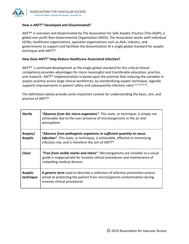

#### **How is ANTT® Developed and Disseminated?**

ANTT® is overseen and disseminated by The Association for Safe Aseptic Practice (The-ASAP), a global non-profit Non-Governmental Organization (NGO). The Association works with individual HCWs, healthcare organizations, specialist organizations such as AVA, industry, and governments to support and facilitate the dissemination of a single global standard for aseptic technique with ANTT®.

#### **How Does ANTT® Help Reduce Healthcare Associated Infection?**

ANTT® 's continued development as the single global standard for this critical clinical competency provides advantages for more meaningful and transferable education, practice, and research. ANTT® implementation is based upon the premise that reducing the variables in aseptic practice across large clinical workforces, by standardising aseptic technique, logically supports improvements in patient safety and subsequently infection rates $^{15,16,20,24,30}$ .

The definitions below provide some important context for understanding the basis, aim, and practice of ANTT®.

| <b>Sterile</b>              | "Absence from ALL micro-organisms". This state, or technique, is simply not<br>achievable due to the ever presence of microorganisms in the air and<br>atmosphere                                       |
|-----------------------------|---------------------------------------------------------------------------------------------------------------------------------------------------------------------------------------------------------|
| Asepsis/<br><b>Aseptic</b>  | "Absence from pathogenic organisms in sufficient quantity to cause<br>infection". This state, or technique, is achievable, effective in minimising<br>infection risk, and is therefore the aim of ANTT® |
| Clean                       | "Free from visible marks and stains". Microorganisms are invisible so a visual<br>guide is inappropriate for invasive clinical procedures and maintenance of<br>indwelling medical devices              |
| <b>Aseptic</b><br>technique | A generic term used to describe a collection of infection prevention actions<br>aimed at protecting the patient from microorganism contamination during<br>invasive clinical procedures                 |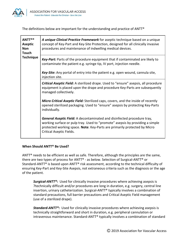

The definitions below are important for the understanding and practice of ANTT®

| <b>ANTT®®</b><br><b>Aseptic</b><br><b>Non</b><br><b>Touch</b><br><b>Technique</b> | A unique Clinical Practice Framework for aseptic technique based on a unique<br>concept of Key-Part and Key-Site Protection, designed for all clinically invasive<br>procedures and maintenance of indwelling medical devices.                                    |
|-----------------------------------------------------------------------------------|-------------------------------------------------------------------------------------------------------------------------------------------------------------------------------------------------------------------------------------------------------------------|
|                                                                                   | Key-Part: Parts of the procedure equipment that if contaminated are likely to<br>contaminate the patient e.g. syringe tip, IV port, injection needle.                                                                                                             |
|                                                                                   | Key-Site: Any portal of entry into the patient e.g. open wound, cannula site,<br>injection site.                                                                                                                                                                  |
|                                                                                   | <b>Critical Aseptic Field:</b> A sterilized drape. Used to "ensure" asepsis, all procedure<br>equipment is placed upon the drape and procedure Key-Parts are subsequently<br>managed collectively.                                                                |
|                                                                                   | <b>Micro Critical Aseptic Field:</b> Sterilized caps, covers, and the inside of recently<br>opened sterilized packaging. Used to "ensure" asepsis by protecting Key-Parts<br>individually.                                                                        |
|                                                                                   | General Aseptic Field: A decontaminated and disinfected procedure tray,<br>working surface or pulp tray. Used to "promote" asepsis by providing a simple<br>protected working space. Note: Key-Parts are primarily protected by Micro<br>Critical Aseptic Fields. |

# **When Should ANTT® Be Used?**

ANTT<sup>®</sup> needs to be efficient as well as safe. Therefore, although the principles are the same, there are two types of process for ANTT® - as below. Selection of Surgical-ANTT® or Standard-ANTT® is based upon ANTT® risk assessment, according to the technical difficulty of ensuring Key-Part and Key-Site Asepsis, not extraneous criteria such as the diagnosis or the age of the patient.

*Surgical-ANTT®***:** Used for clinically invasive procedures where achieving asepsis is 7technically difficult and/or procedures are long in duration, e.g. surgery, central line insertion, urinary catheterization. Surgical-ANTT® typically involves a combination of standard precautions, full barrier precautions and Critical Aseptic Field management (use of a sterilized drape).

*Standard-ANTT®:* Used for clinically invasive procedures where achieving asepsis is technically straightforward and short in duration, e.g. peripheral cannulation or intravenous maintenance. Standard-ANTT® typically involves a combination of standard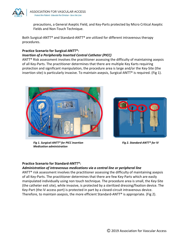

precautions, a General Aseptic Field, and Key-Parts protected by Micro Critical Aseptic Fields and Non-Touch Technique.

Both Surgical-ANTT® and Standard-ANTT® are utilized for different intravenous therapy procedures.

#### **Practice Scenario for Surgical-ANTT®:** *Insertion of a Peripherally Inserted Central Catheter (PICC)*

 $ANT<sup>®</sup>$  Risk assessment involves the practitioner assessing the difficulty of maintaining asepsis of all Key-Parts. The practitioner determines that there are multiple Key Karts requiring protection and significant manipulation, the procedure area is large and/or the Key-Site (the insertion site) is particularly invasive. To maintain asepsis, Surgical-ANTT® is required. (Fig 1).



*Fig 1. Surgical-ANTT® for PICC insertion Fig 2. Standard-ANTT® for IV Medication administration*



# **Practice Scenario for Standard-ANTT®:**

# *Administration of intravenous medications via a central line or peripheral line*

ANTT<sup>®</sup> risk assessment involves the practitioner assessing the difficulty of maintaining asepsis of all Key-Parts. The practitioner determines that there are few Key-Parts which are easily manipulated individually using non touch technique. The procedure area is small, the Key-Site (the catheter exit site), while invasive, is protected by a sterilized dressing/fixation device. The Key-Part (the iV access port) is protected in part by a closed-circuit intravenous device. Therefore, to maintain asepsis, the more efficient Standard-ANTT<sup>®</sup> is appropriate. (Fig 2).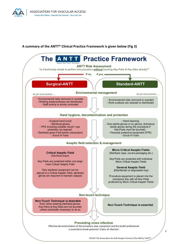

# **A summary of the ANTT® Clinical Practice Framework is given below (Fig 3)**



@2019 The Association for Safe Aseptic Practice (The-ASAP) / ANTT<sup>®</sup>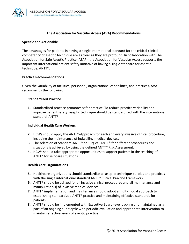

#### **The Association for Vascular Access (AVA) Recommendations:**

#### **Specific and Actionable**

The advantages for patients in having a single international standard for the critical clinical competency of aseptic technique are as clear as they are profound. In collaboration with The Association for Safe Aseptic Practice (ASAP), the Association for Vascular Access supports the important international patient safety initiative of having a single standard for aseptic technique, ANTT®.

#### **Practice Recommendations**

Given the variability of facilities, personnel, organizational capabilities, and practices, AVA recommends the following:

#### **Standardized Practice**

**1.** Standardized practice promotes safer practice. To reduce practice variability and improve patient safety, aseptic technique should be standardized with the international standard, ANTT®.

#### **Individual Health Care Workers**

- **2.** HCWs should apply the ANTT®-Approach for each and every invasive clinical procedure, including the maintenance of indwelling medical devices.
- **3.** The selection of Standard-ANTT® or Surgical-ANTT® for different procedures and situations is achieved by using the defined ANTT® Risk Assessment.
- **4.** HCWs should take appropriate opportunities to support patients in the teaching of ANTT® for self-care situations.

#### **Health Care Organizations**

- **5.** Healthcare organizations should standardize all aseptic technique policies and practices with the single international standard ANTT® Clinical Practice Framework.
- **6.** ANTT® should be utilized for all invasive clinical procedures and all maintenance and manipulation(s) of invasive medical devices.
- **7.** ANTT® implementation and maintenance should adopt a multi-modal approach to establishing standardized ANTT® practice and maintaining effective standards for patients.
- **8.** ANTT® should be implemented with Executive Board-level backing and maintained as a part of an ongoing audit cycle with periodic evaluation and appropriate intervention to maintain effective levels of aseptic practice.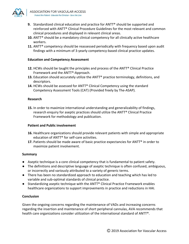

- **9.** Standardized clinical education and practice for ANTT® should be supported and reinforced with ANTT® Clinical Procedure Guidelines for the most relevant and common clinical procedures and displayed in relevant clinical areas.
- **10.** ANTT® should be a mandatory clinical competency for all clinically active healthcare workers.
- **11.** ANTT® competency should be reassessed periodically with frequency based upon audit findings with a minimum of 3-yearly competency-based clinical practice updates.

# **Education and Competency Assessment**

- **12.** HCWs should be taught the principles and process of the ANTT® Clinical Practice Framework and the ANTT®-Approach.
- **13.** Education should accurately utilize the ANTT® practice terminology, definitions, and descriptors.
- **14.** HCWs should be assessed for ANTT® Clinical Competency using the standard Competency Assessment Tools (CAT) (Provided freely by The-ASAP).

#### **Research**

**15.** In order to maximize international understanding and generalizability of findings, research enquiry for aseptic practices should utilize the ANTT® Clinical Practice Framework for methodology and publication.

# **Patient and Public involvement**

- **16.** Healthcare organizations should provide relevant patients with simple and appropriate education of ANTT® for self-care activities.
- **17.** Patients should be made aware of basic practice expectancies for ANTT® in order to maximize patient involvement.

#### **Summary**

- Aseptic technique is a core clinical competency that is fundamental to patient safety.
- The definitions and descriptive language of aseptic technique is often confused, ambiguous, or incorrectly and variously attributed to a variety of generic terms.
- There has been no standardized approach to education and teaching which has led to variable and sub-optimal standards of clinical practice.
- **●** Standardizing aseptic technique with the ANTT® Clinical Practice Framework enables healthcare organizations to support improvements in practice and reductions in HAI.

# **Conclusion**

Given the ongoing concerns regarding the maintenance of VADs and increasing concerns regarding the insertion and maintenance of short peripheral cannulas, AVA recommends that health care organizations consider utilization of the international standard of ANTT®.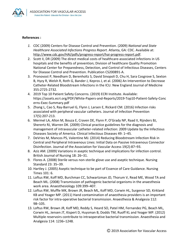

#### **References :**

- *1.* CDC (2009) Centers for Disease Control and Prevention. (2009) *National and State Healthcare Associated Infections Progress Report*. Atlanta, GA: CDC. Available at: <http://www.cdc.gov/HAI/pdfs/progress-report/hai-progress-report.pdf>.
- 2. Scott II, DR (2009) The direct medical costs of healthcare-associated infections in US hospitals and the benefits of prevention; Division of healthcare Quality Promotion National Center for Preparedness, Detection, and Control of Infectious Diseases, Centers for Disease Control and Prevention. Publication CS200891-A.
- 3. Pronovost P, Needham D, Berenholtz S, David Sinopoli D, Chu H, Sara Cosgrove S, Sexton B, Hyzy R, Welsh R, Roth G, Bander J, Kepros J, et al. (2006) An Intervention to Decrease Catheter-Related Bloodstream Infections in the ICU. New England Journal of Medicine 355:2725-2732.
- 4. 2019 Top 10 Patient Safety Concerns. (2019) ECRI Institute. Available: https://assets.ecri.org/PDF/White-Papers-and-Reports/2019-Top10-Patient-Safety-Conc erns-Exec-Summary.pdf
- 5. Zhang L, Cao S, Ray-Barruel G, Flynn J, Larsen E, Rickard CM. (2016) Infection risks associated with peripheral vascular catheters. Journal of Infection Prevention 17(5):207-213.
- 6. Mermel LA, Allon M, Bouza E, Craven DE, Flynn P, O'Grady NP, Raad II, Rijnders BJ, Sherertz RJ, Warren DK. (2009) Clinical practice guidelines for the diagnosis and management of intravascular catheter-related infection: 2009 Update by the Infectious Diseases Society of America. Clinical Infectious Diseases 49: 1–45.
- 7. DeVries M, Mancos PS, Valentine MJ. (2014) Reducing Bloodstream Infection Risk in Central and Peripheral Intravenous Lines: Initial Data on Passive Intravenous Connector Disinfection. Journal of the Association for Vascular Access 19(2):87–93.
- 8. Aziz AM. (2009) Variations in aseptic technique and implications for infection control. British Journal of Nursing 18: 26–31.
- 9. Flores A. (2008) Sterile versus non-sterile glove use and aseptic technique. Nursing Standard 23: 35–39.
- 10. Hartley J. (2005) Aseptic technique to be part of Essence of Care Guidance. Nursing Times 101: 6.
- 11. Loftus RW, Koff MD, Burchman CC, Schwartzman JD, Thorum V, Read ME, Wood TA and Beach ML. (2008) Transmission of pathogenic bacterial organisms in the anaesthesia work area. Anaesthesiology 109:399–407.
- 12. Loftus RW, Muffle MK, Brown JR, Beach ML, Koff MD, Corwin HL, Surgenor SD, Kirkland KB and Yeager MP. (2011) Hand contamination of anaesthesia providers is an important risk factor for intra-operative bacterial transmission. Anaesthesia & Analgesia 112: 98–105.
- 13. Loftus RW, Brown JR, Koff MD, Reddy S, Heard SO, Patel HM, Fernandez PG, Beach ML, Corwin HL, Jensen JT, Kispert D, Huysman B, Dodds TM, Ruoff KL and Yeager MP. (2012) Multiple reservoirs contribute to intraoperative bacterial transmission. Anaesthesia and Analgesia 114: 1236–1248.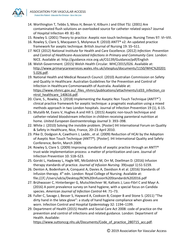

- 14. Worthington T, Tebbs S, Moss H, Bevan V, Kilburn J and Elliot TSJ. (2001) Are contaminated flush solutions an overlooked source for catheter related sepsis? Journal of Hospital Infection 49: 81–83.
- 15. Rowley S. (2001) Theory to practice: Aseptic non touch technique. Nursing Times 97: VI–VIII.
- 16. Rowley S, Clare S, Macqueen S, Molyneux R. (2010) ANTT® v2: An updated practice framework for aseptic technique. British Journal of Nursing 19: S5–S11.
- *17.* NICE (2012) National Institute for Health and Care Excellence. (2012) *Infection: Prevention and Control of Healthcare-Associated Infections in Primary and Community Care*. London: NICE. Available at: http://guidance.nice.org.uk/CG139/Guidance/pdf/English
- 18. Welsh Government. (2015) Welsh Health Circular. WHC/2015/026. Available at: [http://www.primarycareservices.wales.nhs.uk/sitesplus/documents/1150/WHC%20201](http://www.primarycareservices.wales.nhs.uk/sitesplus/documents/1150/WHC%202015.026.pdf) [5.026.pdf](http://www.primarycareservices.wales.nhs.uk/sitesplus/documents/1150/WHC%202015.026.pdf).
- 19. National Health and Medical Research Council. (2010) Australian Commission on Safety and Quality in Healthcare: Australian Guidelines for the Prevention and Control of Infection in Healthcare Commonwealth of Australia. Available at: [https://www.nhmrc.gov.au/\\_files\\_nhmrc/publications/attachments/cd33\\_infection\\_co](https://www.nhmrc.gov.au/_files_nhmrc/publications/attachments/cd33_infection_control_healthcare_140616.pdf) [ntrol\\_healthcare\\_140616.pdf](https://www.nhmrc.gov.au/_files_nhmrc/publications/attachments/cd33_infection_control_healthcare_140616.pdf).
- 20. Clare, S., Rowley, S. (2018) Implementing the Aseptic Non Touch Technique (ANTT®®) clinical practice framework for aseptic technique: a pragmatic evaluation using a mixed methods approach in two London hospitals. Journal of Infection Prevention 19 (1), 6-15.
- 21. Mutalib M, Evans V, Hughes A and Hill S. (2015) Aseptic non-touch technique and catheter-related bloodstream infection in children receiving parenteral nutrition at home. *United European Gastroenterology Journal* 3: 393–398.
- 22. White J. (2010) Solving the invisible problem. [Poster] IHI International Forum on Quality & Safety in Healthcare, Nice, France, 20–23 April 2010.
- 23. Pike D, Dodgson A, Cawthorn J, Ladds , et al. (2009) Reduction of HCAI by the Adoption of Aseptic Non Touch Technique (ANTT®). [Poster]. IHI International Quality and Safety Conference, Berlin, March 2009.
- 24. Rowley S, Clare S. (2009) Improving standards of aseptic practice through an ANTT® trust-wide implementation process: a matter of prioritization and care. Journal of Infection Prevention 10: S18–S23.
- 25. Gorski L, Hadaway L, Hagle ME, McGoldrick M, Orr M, Doellman D. (2016) Infusion therapy standards of practice. *Journal of Infusion Nursing.* 39(suppl 1):S1-S159.
- 26. Denton A, Bodenham A, Conquest A, Davies A, Davidson A et al. (2016) Standards of Infusion therapy. 4<sup>th</sup> edn. London: Royal College of Nursing. Available at: file:///C:/Users/sdcla/Desktop/RCN%20Infusion%20Standards%202016.pdf
- 27. Brühwasser C, Hinterberger G, Mutschlechner W, Kaltseis J, Lass-Flörl C and Mayr A. (2016) A point prevalence survey on hand hygiene, with a special focus on Candida species. *American Journal of Infection Control* 44: 71–73.
- 28. Fuller C, Savage J, Besser S, Hayward A, Cookson B, Cooper B and Stone S. (2011) "The dirty hand in the latex glove": a study of hand hygiene compliance when gloves are worn. Infection Control and Hospital Epidemiology 32: 1194–1199.
- 29. Department of Health (2015) Health and Social Care Act 2008: code of practice on the prevention and control of infections and related guidance. London: Department of Health. Available:

[https://www.suttonccg.nhs.uk/Documents/Code\\_of\\_practice\\_280715\\_acc.pdf.](https://www.suttonccg.nhs.uk/Documents/Code_of_practice_280715_acc.pdf)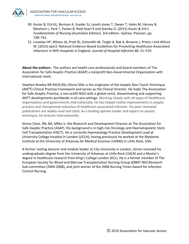

- 30. Kozier B, Erb GL, Berman A, Snyder SJ, Levett-Jones T, Dwyer T, Hales M, Harvey N, Moxham L, Park T, Parker B, Reid-Searl K and Stanley D. (2015) *Kozier & Erb's Fundamentals of Nursing* (Australian Edition). 3rd edition. Sydney: Pearson, pp. 738–741.
- 31. Loveday HP, Wilson JA, Pratt RJ, Golsorkhi M, Tingle A, Bak A, Browne J, Prieto J and Wilcox M. (2014) epic3: National Evidence-Based Guidelines for Preventing Healthcare-Associated Infections in NHS Hospitals in England. *Journal of Hospital Infection* 86: S1–S70.

**About the authors:** The authors are health care professionals and board members of The Association for Safe Aseptic Practice (ASAP) a nonprofit Non-Governmental Organization with international remit.

Stephen Rowley RN RSCN BSc (Hons) MSc is the originator of the Aseptic Non Touch Technique (ANTT) Clinical Practice Framework and serves as the Clinical Director. He leads The-Association for Safe Aseptic Practice, a non profit NGO with a global remit, disseminating and supporting ANTT developments worldwide in all care settings. Working closely with all types of Healthcare organizations and governments internationally, he has helped realize improvements in aseptic practice and championed reduction of healthcare associated infection. His peer reviewed publications are widely read and cited. As a leading opinion leader and expert on aseptic technique, he lectures internationally.

Simon Clare, RN, BA, MRes is the Research and Development Director at The Association for Safe Aseptic Practice (ASAP). His background is in high-risk Oncology and Haematopoietic Stem Cell Transplantation (HSCT). He is currently Haematology Practice Development Lead at University College hospital in London (UCLH); having previously he worked at the Myeloma Institute at the University of Arkansas for Medical Sciences (UAMS) in Little Rock, USA.

A former visiting lecturer and module leader at City University in London, Simon received his undergraduate degree from the University of Arkansas at Little Rock (UALR) and a Master's degree in healthcare research from King's College London (KCL). He is a former member of The European Society for Blood and Marrow Transplantation Nursing Group (EBMT-NG) Research Sub-committee (2004-2008), and joint winner of the 2008 Nursing Times Award for Infection Control Nursing.